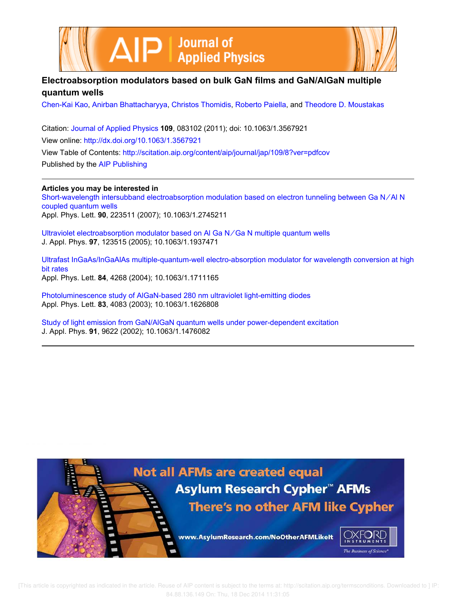



# **Electroabsorption modulators based on bulk GaN films and GaN/AlGaN multiple quantum wells**

Chen-Kai Kao, Anirban Bhattacharyya, Christos Thomidis, Roberto Paiella, and Theodore D. Moustakas

Citation: Journal of Applied Physics **109**, 083102 (2011); doi: 10.1063/1.3567921 View online: http://dx.doi.org/10.1063/1.3567921 View Table of Contents: http://scitation.aip.org/content/aip/journal/jap/109/8?ver=pdfcov Published by the AIP Publishing

**Articles you may be interested in**

Short-wavelength intersubband electroabsorption modulation based on electron tunneling between Ga N ∕ Al N coupled quantum wells Appl. Phys. Lett. **90**, 223511 (2007); 10.1063/1.2745211

Ultraviolet electroabsorption modulator based on Al Ga N ∕ Ga N multiple quantum wells J. Appl. Phys. **97**, 123515 (2005); 10.1063/1.1937471

Ultrafast InGaAs/InGaAlAs multiple-quantum-well electro-absorption modulator for wavelength conversion at high bit rates Appl. Phys. Lett. **84**, 4268 (2004); 10.1063/1.1711165

Photoluminescence study of AlGaN-based 280 nm ultraviolet light-emitting diodes Appl. Phys. Lett. **83**, 4083 (2003); 10.1063/1.1626808

Study of light emission from GaN/AlGaN quantum wells under power-dependent excitation J. Appl. Phys. **91**, 9622 (2002); 10.1063/1.1476082

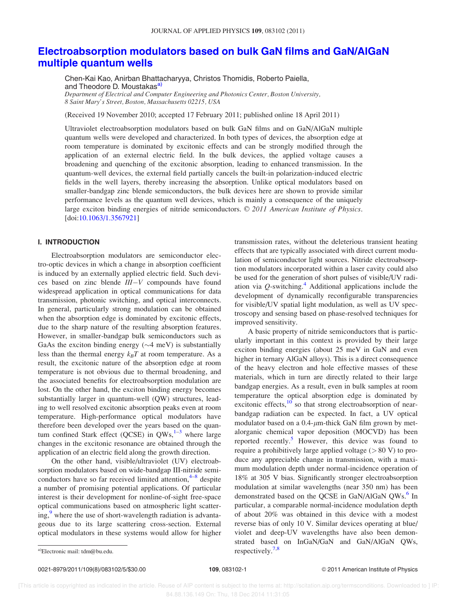# Electroabsorption modulators based on bulk GaN films and GaN/AlGaN multiple quantum wells

Chen-Kai Kao, Anirban Bhattacharyya, Christos Thomidis, Roberto Paiella, and Theodore D. Moustakas<sup>a)</sup> Department of Electrical and Computer Engineering and Photonics Center, Boston University,

8 Saint Mary's Street, Boston, Massachusetts 02215, USA

(Received 19 November 2010; accepted 17 February 2011; published online 18 April 2011)

Ultraviolet electroabsorption modulators based on bulk GaN films and on GaN/AlGaN multiple quantum wells were developed and characterized. In both types of devices, the absorption edge at room temperature is dominated by excitonic effects and can be strongly modified through the application of an external electric field. In the bulk devices, the applied voltage causes a broadening and quenching of the excitonic absorption, leading to enhanced transmission. In the quantum-well devices, the external field partially cancels the built-in polarization-induced electric fields in the well layers, thereby increasing the absorption. Unlike optical modulators based on smaller-bandgap zinc blende semiconductors, the bulk devices here are shown to provide similar performance levels as the quantum well devices, which is mainly a consequence of the uniquely large exciton binding energies of nitride semiconductors.  $\odot$  2011 American Institute of Physics. [doi:10.1063/1.3567921]

## I. INTRODUCTION

Electroabsorption modulators are semiconductor electro-optic devices in which a change in absorption coefficient is induced by an externally applied electric field. Such devices based on zinc blende III-V compounds have found widespread application in optical communications for data transmission, photonic switching, and optical interconnects. In general, particularly strong modulation can be obtained when the absorption edge is dominated by excitonic effects, due to the sharp nature of the resulting absorption features. However, in smaller-bandgap bulk semiconductors such as GaAs the exciton binding energy  $(\sim 4 \text{ meV})$  is substantially less than the thermal energy  $k_BT$  at room temperature. As a result, the excitonic nature of the absorption edge at room temperature is not obvious due to thermal broadening, and the associated benefits for electroabsorption modulation are lost. On the other hand, the exciton binding energy becomes substantially larger in quantum-well (QW) structures, leading to well resolved excitonic absorption peaks even at room temperature. High-performance optical modulators have therefore been developed over the years based on the quantum confined Stark effect (QCSE) in  $QWs$ ,  $1-3$  where large changes in the excitonic resonance are obtained through the application of an electric field along the growth direction.

On the other hand, visible/ultraviolet (UV) electroabsorption modulators based on wide-bandgap III-nitride semiconductors have so far received limited attention,<sup>4-8</sup> despite a number of promising potential applications. Of particular interest is their development for nonline-of-sight free-space optical communications based on atmospheric light scattering,<sup>9</sup> where the use of short-wavelength radiation is advantageous due to its large scattering cross-section. External optical modulators in these systems would allow for higher transmission rates, without the deleterious transient heating effects that are typically associated with direct current modulation of semiconductor light sources. Nitride electroabsorption modulators incorporated within a laser cavity could also be used for the generation of short pulses of visible/UV radiation via  $Q$ -switching.<sup>4</sup> Additional applications include the development of dynamically reconfigurable transparencies for visible/UV spatial light modulation, as well as UV spectroscopy and sensing based on phase-resolved techniques for improved sensitivity.

A basic property of nitride semiconductors that is particularly important in this context is provided by their large exciton binding energies (about 25 meV in GaN and even higher in ternary AlGaN alloys). This is a direct consequence of the heavy electron and hole effective masses of these materials, which in turn are directly related to their large bandgap energies. As a result, even in bulk samples at room temperature the optical absorption edge is dominated by excitonic effects, $\frac{10}{10}$  so that strong electroabsorption of nearbandgap radiation can be expected. In fact, a UV optical modulator based on a  $0.4$ - $\mu$ m-thick GaN film grown by metalorganic chemical vapor deposition (MOCVD) has been reported recently.<sup>5</sup> However, this device was found to require a prohibitively large applied voltage  $(> 80 \text{ V})$  to produce any appreciable change in transmission, with a maximum modulation depth under normal-incidence operation of 18% at 305 V bias. Significantly stronger electroabsorption modulation at similar wavelengths (near 350 nm) has been demonstrated based on the QCSE in GaN/AlGaN QWs.<sup>6</sup> In particular, a comparable normal-incidence modulation depth of about 20% was obtained in this device with a modest reverse bias of only 10 V. Similar devices operating at blue/ violet and deep-UV wavelengths have also been demonstrated based on InGaN/GaN and GaN/AlGaN QWs, a) Electronic mail: tdm@bu.edu.  $\frac{7.8}{2}$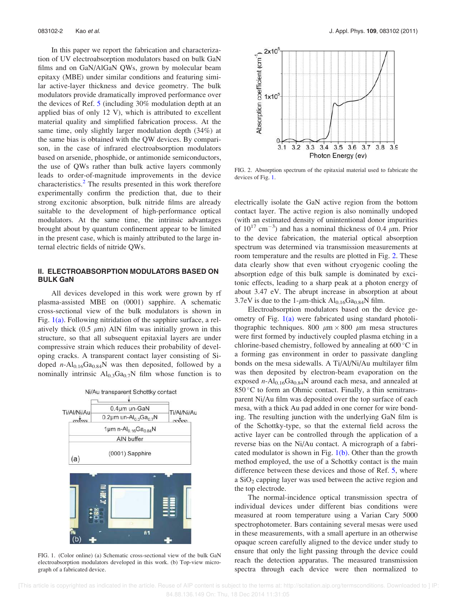In this paper we report the fabrication and characterization of UV electroabsorption modulators based on bulk GaN films and on GaN/AlGaN QWs, grown by molecular beam epitaxy (MBE) under similar conditions and featuring similar active-layer thickness and device geometry. The bulk modulators provide dramatically improved performance over the devices of Ref. 5 (including 30% modulation depth at an applied bias of only 12 V), which is attributed to excellent material quality and simplified fabrication process. At the same time, only slightly larger modulation depth (34%) at the same bias is obtained with the QW devices. By comparison, in the case of infrared electroabsorption modulators based on arsenide, phosphide, or antimonide semiconductors, the use of QWs rather than bulk active layers commonly leads to order-of-magnitude improvements in the device characteristics.<sup>2</sup> The results presented in this work therefore experimentally confirm the prediction that, due to their strong excitonic absorption, bulk nitride films are already suitable to the development of high-performance optical modulators. At the same time, the intrinsic advantages brought about by quantum confinement appear to be limited in the present case, which is mainly attributed to the large internal electric fields of nitride QWs.

### II. ELECTROABSORPTION MODULATORS BASED ON BULK GaN

All devices developed in this work were grown by rf plasma-assisted MBE on (0001) sapphire. A schematic cross-sectional view of the bulk modulators is shown in Fig.  $1(a)$ . Following nitridation of the sapphire surface, a relatively thick  $(0.5 \mu m)$  AlN film was initially grown in this structure, so that all subsequent epitaxial layers are under compressive strain which reduces their probability of developing cracks. A transparent contact layer consisting of Sidoped  $n-Al_{0.16}Ga_{0.84}N$  was then deposited, followed by a nominally intrinsic  $Al_{0,3}Ga_{0,7}N$  film whose function is to



FIG. 1. (Color online) (a) Schematic cross-sectional view of the bulk GaN electroabsorption modulators developed in this work. (b) Top-view micrograph of a fabricated device.



FIG. 2. Absorption spectrum of the epitaxial material used to fabricate the devices of Fig. 1.

electrically isolate the GaN active region from the bottom contact layer. The active region is also nominally undoped (with an estimated density of unintentional donor impurities of  $10^{17}$  cm<sup>-3</sup>) and has a nominal thickness of 0.4  $\mu$ m. Prior to the device fabrication, the material optical absorption spectrum was determined via transmission measurements at room temperature and the results are plotted in Fig. 2. These data clearly show that even without cryogenic cooling the absorption edge of this bulk sample is dominated by excitonic effects, leading to a sharp peak at a photon energy of about 3.47 eV. The abrupt increase in absorption at about 3.7eV is due to the 1- $\mu$ m-thick Al<sub>0.16</sub>Ga<sub>0.84</sub>N film.

Electroabsorption modulators based on the device geometry of Fig. 1(a) were fabricated using standard photolithographic techniques. 800  $\mu$ m  $\times$  800  $\mu$ m mesa structures were first formed by inductively coupled plasma etching in a chlorine-based chemistry, followed by annealing at  $600^{\circ}$ C in a forming gas environment in order to passivate dangling bonds on the mesa sidewalls. A Ti/Al/Ni/Au multilayer film was then deposited by electron-beam evaporation on the exposed  $n-Al_{0.16}Ga_{0.84}N$  around each mesa, and annealed at  $850^{\circ}$ C to form an Ohmic contact. Finally, a thin semitransparent Ni/Au film was deposited over the top surface of each mesa, with a thick Au pad added in one corner for wire bonding. The resulting junction with the underlying GaN film is of the Schottky-type, so that the external field across the active layer can be controlled through the application of a reverse bias on the Ni/Au contact. A micrograph of a fabricated modulator is shown in Fig.  $1(b)$ . Other than the growth method employed, the use of a Schottky contact is the main difference between these devices and those of Ref. 5, where a SiO<sub>2</sub> capping layer was used between the active region and the top electrode.

The normal-incidence optical transmission spectra of individual devices under different bias conditions were measured at room temperature using a Varian Cary 5000 spectrophotometer. Bars containing several mesas were used in these measurements, with a small aperture in an otherwise opaque screen carefully aligned to the device under study to ensure that only the light passing through the device could reach the detection apparatus. The measured transmission spectra through each device were then normalized to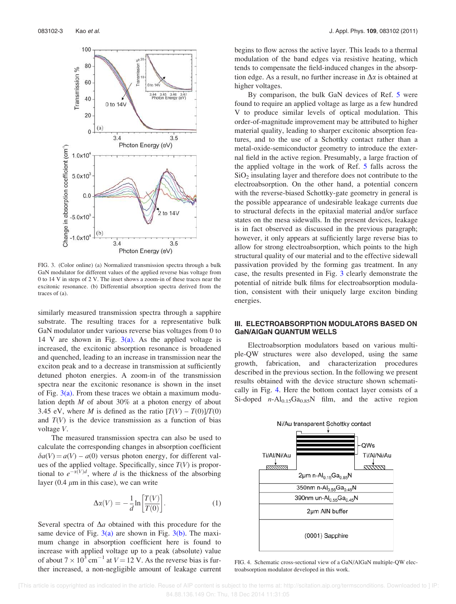

FIG. 3. (Color online) (a) Normalized transmission spectra through a bulk GaN modulator for different values of the applied reverse bias voltage from 0 to 14 V in steps of 2 V. The inset shows a zoom-in of these traces near the excitonic resonance. (b) Differential absorption spectra derived from the traces of (a).

similarly measured transmission spectra through a sapphire substrate. The resulting traces for a representative bulk GaN modulator under various reverse bias voltages from 0 to 14 V are shown in Fig.  $3(a)$ . As the applied voltage is increased, the excitonic absorption resonance is broadened and quenched, leading to an increase in transmission near the exciton peak and to a decrease in transmission at sufficiently detuned photon energies. A zoom-in of the transmission spectra near the excitonic resonance is shown in the inset of Fig.  $3(a)$ . From these traces we obtain a maximum modulation depth  $M$  of about 30% at a photon energy of about 3.45 eV, where M is defined as the ratio  $[T(V) - T(0)]/T(0)$ and  $T(V)$  is the device transmission as a function of bias voltage V.

The measured transmission spectra can also be used to calculate the corresponding changes in absorption coefficient  $\delta a(V) = a(V) - a(0)$  versus photon energy, for different values of the applied voltage. Specifically, since  $T(V)$  is proportional to  $e^{-\alpha(V)d}$ , where d is the thickness of the absorbing layer (0.4  $\mu$ m in this case), we can write

$$
\Delta \alpha(V) = -\frac{1}{d} \ln \left[ \frac{T(V)}{T(0)} \right].
$$
 (1)

Several spectra of  $\Delta a$  obtained with this procedure for the same device of Fig.  $3(a)$  are shown in Fig.  $3(b)$ . The maximum change in absorption coefficient here is found to increase with applied voltage up to a peak (absolute) value of about  $7 \times 10^3$  cm<sup>-1</sup> at  $V = 12$  V. As the reverse bias is further increased, a non-negligible amount of leakage current begins to flow across the active layer. This leads to a thermal modulation of the band edges via resistive heating, which tends to compensate the field-induced changes in the absorption edge. As a result, no further increase in  $\Delta \alpha$  is obtained at higher voltages.

By comparison, the bulk GaN devices of Ref. 5 were found to require an applied voltage as large as a few hundred V to produce similar levels of optical modulation. This order-of-magnitude improvement may be attributed to higher material quality, leading to sharper excitonic absorption features, and to the use of a Schottky contact rather than a metal-oxide-semiconductor geometry to introduce the external field in the active region. Presumably, a large fraction of the applied voltage in the work of Ref. 5 falls across the  $SiO<sub>2</sub>$  insulating layer and therefore does not contribute to the electroabsorption. On the other hand, a potential concern with the reverse-biased Schottky-gate geometry in general is the possible appearance of undesirable leakage currents due to structural defects in the epitaxial material and/or surface states on the mesa sidewalls. In the present devices, leakage is in fact observed as discussed in the previous paragraph; however, it only appears at sufficiently large reverse bias to allow for strong electroabsorption, which points to the high structural quality of our material and to the effective sidewall passivation provided by the forming gas treatment. In any case, the results presented in Fig. 3 clearly demonstrate the potential of nitride bulk films for electroabsorption modulation, consistent with their uniquely large exciton binding energies.

## III. ELECTROABSORPTION MODULATORS BASED ON GaN/AlGaN QUANTUM WELLS

Electroabsorption modulators based on various multiple-QW structures were also developed, using the same growth, fabrication, and characterization procedures described in the previous section. In the following we present results obtained with the device structure shown schematically in Fig. 4. Here the bottom contact layer consists of a Si-doped  $n-Al_{0.15}Ga_{0.85}N$  film, and the active region



FIG. 4. Schematic cross-sectional view of a GaN/AlGaN multiple-QW electroabsorption modulator developed in this work.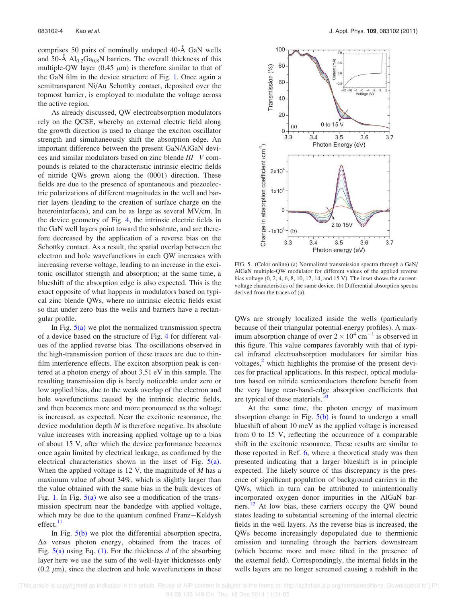comprises 50 pairs of nominally undoped  $40-\text{\AA}$  GaN wells and 50-Å  $Al_{0.2}Ga_{0.8}N$  barriers. The overall thickness of this multiple-QW layer (0.45  $\mu$ m) is therefore similar to that of the GaN film in the device structure of Fig. 1. Once again a semitransparent Ni/Au Schottky contact, deposited over the topmost barrier, is employed to modulate the voltage across the active region.

As already discussed, QW electroabsorption modulators rely on the QCSE, whereby an external electric field along the growth direction is used to change the exciton oscillator strength and simultaneously shift the absorption edge. An important difference between the present GaN/AlGaN devices and similar modulators based on zinc blende III-V compounds is related to the characteristic intrinsic electric fields of nitride QWs grown along the (0001) direction. These fields are due to the presence of spontaneous and piezoelectric polarizations of different magnitudes in the well and barrier layers (leading to the creation of surface charge on the heterointerfaces), and can be as large as several MV/cm. In the device geometry of Fig. 4, the intrinsic electric fields in the GaN well layers point toward the substrate, and are therefore decreased by the application of a reverse bias on the Schottky contact. As a result, the spatial overlap between the electron and hole wavefunctions in each QW increases with increasing reverse voltage, leading to an increase in the excitonic oscillator strength and absorption; at the same time, a blueshift of the absorption edge is also expected. This is the exact opposite of what happens in modulators based on typical zinc blende QWs, where no intrinsic electric fields exist so that under zero bias the wells and barriers have a rectangular profile.

In Fig.  $5(a)$  we plot the normalized transmission spectra of a device based on the structure of Fig. 4 for different values of the applied reverse bias. The oscillations observed in the high-transmission portion of these traces are due to thinfilm interference effects. The exciton absorption peak is centered at a photon energy of about 3.51 eV in this sample. The resulting transmission dip is barely noticeable under zero or low applied bias, due to the weak overlap of the electron and hole wavefunctions caused by the intrinsic electric fields, and then becomes more and more pronounced as the voltage is increased, as expected. Near the excitonic resonance, the device modulation depth  $M$  is therefore negative. Its absolute value increases with increasing applied voltage up to a bias of about 15 V, after which the device performance becomes once again limited by electrical leakage, as confirmed by the electrical characteristics shown in the inset of Fig. 5(a). When the applied voltage is 12 V, the magnitude of  *has a* maximum value of about 34%, which is slightly larger than the value obtained with the same bias in the bulk devices of Fig. 1. In Fig.  $5(a)$  we also see a modification of the transmission spectrum near the bandedge with applied voltage, which may be due to the quantum confined Franz-Keldysh effect. $11$ 

In Fig.  $5(b)$  we plot the differential absorption spectra,  $\Delta x$  versus photon energy, obtained from the traces of Fig.  $5(a)$  using Eq. (1). For the thickness d of the absorbing layer here we use the sum of the well-layer thicknesses only  $(0.2 \mu m)$ , since the electron and hole wavefunctions in these



FIG. 5. (Color online) (a) Normalized transmission spectra through a GaN/ AlGaN multiple-QW modulator for different values of the applied reverse bias voltage (0, 2, 4, 6, 8, 10, 12, 14, and 15 V). The inset shows the currentvoltage characteristics of the same device. (b) Differential absorption spectra derived from the traces of (a).

QWs are strongly localized inside the wells (particularly because of their triangular potential-energy profiles). A maximum absorption change of over  $2 \times 10^4$  cm<sup>-1</sup> is observed in this figure. This value compares favorably with that of typical infrared electroabsorption modulators for similar bias voltages, $<sup>2</sup>$  which highlights the promise of the present devi-</sup> ces for practical applications. In this respect, optical modulators based on nitride semiconductors therefore benefit from the very large near-band-edge absorption coefficients that are typical of these materials.<sup>10</sup>

At the same time, the photon energy of maximum absorption change in Fig.  $5(b)$  is found to undergo a small blueshift of about 10 meV as the applied voltage is increased from 0 to 15 V, reflecting the occurrence of a comparable shift in the excitonic resonance. These results are similar to those reported in Ref. 6, where a theoretical study was then presented indicating that a larger blueshift is in principle expected. The likely source of this discrepancy is the presence of significant population of background carriers in the QWs, which in turn can be attributed to unintentionally incorporated oxygen donor impurities in the AlGaN barriers.<sup>12</sup> At low bias, these carriers occupy the QW bound states leading to substantial screening of the internal electric fields in the well layers. As the reverse bias is increased, the QWs become increasingly depopulated due to thermionic emission and tunneling through the barriers downstream (which become more and more tilted in the presence of the external field). Correspondingly, the internal fields in the wells layers are no longer screened causing a redshift in the